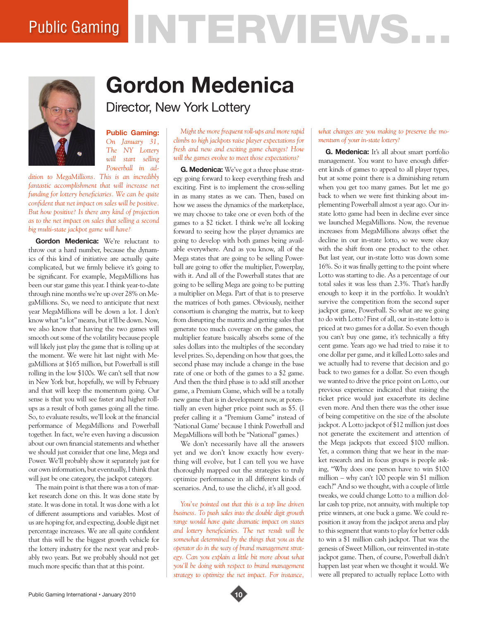# Public Gaming NTERVIEWS.



## **Gordon Medenica**

Director, New York Lottery

**Public Gaming:**  *On January 31, The NY Lottery will start selling Powerball in ad-*

*dition to MegaMillions. This is an incredibly fantastic accomplishment that will increase net funding for lottery beneficiaries. We can be quite confident that net impact on sales will be positive. But how positive? Is there any kind of projection as to the net impact on sales that selling a second big multi-state jackpot game will have?* 

**Gordon Medenica:** We're reluctant to throw out a hard number, because the dynamics of this kind of initiative are actually quite complicated, but we firmly believe it's going to be significant. For example, MegaMillions has been our star game this year. I think year-to-date through nine months we're up over 28% on MegaMillions. So, we need to anticipate that next year MegaMillions will be down a lot. I don't know what "a lot" means, but it'll be down. Now, we also know that having the two games will smooth out some of the volatility because people will likely just play the game that is rolling up at the moment. We were hit last night with MegaMillions at \$165 million, but Powerball is still rolling in the low \$100s. We can't sell that now in New York but, hopefully, we will by February and that will keep the momentum going. Our sense is that you will see faster and higher rollups as a result of both games going all the time. So, to evaluate results, we'll look at the financial performance of MegaMillions and Powerball together. In fact, we're even having a discussion about our own financial statements and whether we should just consider that one line, Mega and Power. We'll probably show it separately just for our own information, but eventually, I think that will just be one category, the jackpot category.

The main point is that there was a ton of market research done on this. It was done state by state. It was done in total. It was done with a lot of different assumptions and variables. Most of us are hoping for, and expecting, double digit net percentage increases. We are all quite confident that this will be the biggest growth vehicle for the lottery industry for the next year and probably two years. But we probably should not get much more specific than that at this point.

*Might the more frequent roll-ups and more rapid climbs to high jackpots raise player expectations for fresh and new and exciting game changes? How will the games evolve to meet those expectations?* 

**G. Medenica:** We've got a three phase strategy going forward to keep everything fresh and exciting. First is to implement the cross-selling in as many states as we can. Then, based on how we assess the dynamics of the marketplace, we may choose to take one or even both of the games to a \$2 ticket. I think we're all looking forward to seeing how the player dynamics are going to develop with both games being available everywhere. And as you know, all of the Mega states that are going to be selling Powerball are going to offer the multiplier, Powerplay, with it. And all of the Powerball states that are going to be selling Mega are going to be putting a multiplier on Mega. Part of that is to preserve the matrices of both games. Obviously, neither consortium is changing the matrix, but to keep from disrupting the matrix and getting sales that generate too much coverage on the games, the multiplier feature basically absorbs some of the sales dollars into the multiples of the secondary level prizes. So, depending on how that goes, the second phase may include a change in the base rate of one or both of the games to a \$2 game. And then the third phase is to add still another game, a Premium Game, which will be a totally new game that is in development now, at potentially an even higher price point such as \$5. (I prefer calling it a "Premium Game" instead of 'National Game' because I think Powerball and MegaMillions will both be "National" games.)

We don't necessarily have all the answers yet and we don't know exactly how everything will evolve, but I can tell you we have thoroughly mapped out the strategies to truly optimize performance in all different kinds of scenarios. And, to use the cliché, it's all good.

*You've pointed out that this is a top line driven business. To push sales into the double digit growth range would have quite dramatic impact on states and lottery beneficiaries. The net result will be somewhat determined by the things that you as the operator do in the way of brand management strategy. Can you explain a little bit more about what you'll be doing with respect to brand management strategy to optimize the net impact. For instance,* 

#### *what changes are you making to preserve the momentum of your in-state lottery?*

**G. Medenica:** It's all about smart portfolio management. You want to have enough different kinds of games to appeal to all player types, but at some point there is a diminishing return when you get too many games. But let me go back to when we were first thinking about implementing Powerball almost a year ago. Our instate lotto game had been in decline ever since we launched MegaMillions. Now, the revenue increases from MegaMillions always offset the decline in our in-state lotto, so we were okay with the shift from one product to the other. But last year, our in-state lotto was down some 16%. So it was finally getting to the point where Lotto was starting to die. As a percentage of our total sales it was less than 2.3%. That's hardly enough to keep it in the portfolio. It wouldn't survive the competition from the second super jackpot game, Powerball. So what are we going to do with Lotto? First of all, our in-state lotto is priced at two games for a dollar. So even though you can't buy one game, it's technically a fifty cent game. Years ago we had tried to raise it to one dollar per game, and it killed Lotto sales and we actually had to reverse that decision and go back to two games for a dollar. So even though we wanted to drive the price point on Lotto, our previous experience indicated that raising the ticket price would just exacerbate its decline even more. And then there was the other issue of being competitive on the size of the absolute jackpot. A Lotto jackpot of \$12 million just does not generate the excitement and attention of the Mega jackpots that exceed \$100 million. Yet, a common thing that we hear in the market research and in focus groups is people asking, "Why does one person have to win \$100 million – why can't 100 people win \$1 million each?" And so we thought, with a couple of little tweaks, we could change Lotto to a million dollar cash top prize, not annuity, with multiple top prize winners, at one buck a game. We could reposition it away from the jackpot arena and play to this segment that wants to play for better odds to win a \$1 million cash jackpot. That was the genesis of Sweet Million, our reinvented in-state jackpot game. Then, of course, Powerball didn't happen last year when we thought it would. We were all prepared to actually replace Lotto with

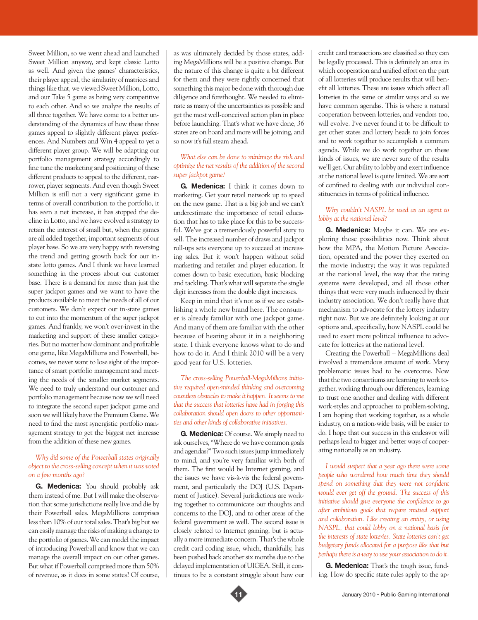Sweet Million, so we went ahead and launched Sweet Million anyway, and kept classic Lotto as well. And given the games' characteristics, their player appeal, the similarity of matrices and things like that, we viewed Sweet Million, Lotto, and our Take 5 game as being very competitive to each other. And so we analyze the results of all three together. We have come to a better understanding of the dynamics of how these three games appeal to slightly different player preferences. And Numbers and Win 4 appeal to yet a different player group. We will be adapting our portfolio management strategy accordingly to fine tune the marketing and positioning of these different products to appeal to the different, narrower, player segments. And even though Sweet Million is still not a very significant game in terms of overall contribution to the portfolio, it has seen a net increase, it has stopped the decline in Lotto, and we have evolved a strategy to retain the interest of small but, when the games are all added together, important segments of our player base. So we are very happy with reversing the trend and getting growth back for our instate lotto games. And I think we have learned something in the process about our customer base. There is a demand for more than just the super jackpot games and we want to have the products available to meet the needs of all of our customers. We don't expect our in-state games to cut into the momentum of the super jackpot games. And frankly, we won't over-invest in the marketing and support of these smaller categories. But no matter how dominant and profitable one game, like MegaMillions and Powerball, becomes, we never want to lose sight of the importance of smart portfolio management and meeting the needs of the smaller market segments. We need to truly understand our customer and portfolio management because now we will need to integrate the second super jackpot game and soon we will likely have the Premium Game. We need to find the most synergistic portfolio management strategy to get the biggest net increase from the addition of these new games.

### *Why did some of the Powerball states originally object to the cross-selling concept when it was voted on a few months ago?*

**G. Medenica:** You should probably ask them instead of me. But I will make the observation that some jurisdictions really live and die by their Powerball sales. MegaMillions comprises less than 10% of our total sales. That's big but we can easily manage the risks of making a change to the portfolio of games. We can model the impact of introducing Powerball and know that we can manage the overall impact on our other games. But what if Powerball comprised more than 50% of revenue, as it does in some states? Of course, as was ultimately decided by those states, adding MegaMillions will be a positive change. But the nature of this change is quite a bit different for them and they were rightly concerned that something this major be done with thorough due diligence and forethought. We needed to eliminate as many of the uncertainties as possible and get the most well-conceived action plan in place before launching. That's what we have done, 36 states are on board and more will be joining, and so now it's full steam ahead.

### *What else can be done to minimize the risk and optimize the net results of the addition of the second super jackpot game?*

**G. Medenica:** I think it comes down to marketing. Get your retail network up to speed on the new game. That is a big job and we can't underestimate the importance of retail education that has to take place for this to be successful. We've got a tremendously powerful story to sell. The increased number of draws and jackpot roll-ups sets everyone up to succeed at increasing sales. But it won't happen without solid marketing and retailer and player education. It comes down to basic execution, basic blocking and tackling. That's what will separate the single digit increases from the double digit increases.

Keep in mind that it's not as if we are establishing a whole new brand here. The consumer is already familiar with one jackpot game. And many of them are familiar with the other because of hearing about it in a neighboring state. I think everyone knows what to do and how to do it. And I think 2010 will be a very good year for U.S. lotteries.

*The cross-selling Powerball-MegaMillions initiative required open-minded thinking and overcoming countless obstacles to make it happen. It seems to me that the success that lotteries have had in forging this collaboration should open doors to other opportunities and other kinds of collaborative initiatives.* 

**G. Medenica:** Of course. We simply need to ask ourselves, "Where do we have common goals and agendas?" Two such issues jump immediately to mind, and you're very familiar with both of them. The first would be Internet gaming, and the issues we have vis-à-vis the federal government, and particularly the DOJ (U.S. Department of Justice). Several jurisdictions are working together to communicate our thoughts and concerns to the DOJ, and to other areas of the federal government as well. The second issue is closely related to Internet gaming, but is actually a more immediate concern. That's the whole credit card coding issue, which, thankfully, has been pushed back another six months due to the delayed implementation of UIGEA. Still, it continues to be a constant struggle about how our

credit card transactions are classified so they can be legally processed. This is definitely an area in which cooperation and unified effort on the part of all lotteries will produce results that will benefit all lotteries. These are issues which affect all lotteries in the same or similar ways and so we have common agendas. This is where a natural cooperation between lotteries, and vendors too, will evolve. I've never found it to be difficult to get other states and lottery heads to join forces and to work together to accomplish a common agenda. While we do work together on these kinds of issues, we are never sure of the results we'll get. Our ability to lobby and exert influence at the national level is quite limited. We are sort of confined to dealing with our individual constituencies in terms of political influence.

### *Why couldn't NASPL be used as an agent to lobby at the national level?*

**G. Medenica:** Maybe it can. We are exploring those possibilities now. Think about how the MPA, the Motion Picture Association, operated and the power they exerted on the movie industry; the way it was regulated at the national level, the way that the rating systems were developed, and all those other things that were very much influenced by their industry association. We don't really have that mechanism to advocate for the lottery industry right now. But we are definitely looking at our options and, specifically, how NASPL could be used to exert more political influence to advocate for lotteries at the national level.

Creating the Powerball – MegaMillions deal involved a tremendous amount of work. Many problematic issues had to be overcome. Now that the two consortiums are learning to work together, working through our differences, learning to trust one another and dealing with different work-styles and approaches to problem-solving, I am hoping that working together, as a whole industry, on a nation-wide basis, will be easier to do. I hope that our success in this endeavor will perhaps lead to bigger and better ways of cooperating nationally as an industry.

*I would suspect that a year ago there were some people who wondered how much time they should spend on something that they were not confident would ever get off the ground. The success of this initiative should give everyone the confidence to go after ambitious goals that require mutual support and collaboration. Like creating an entity, or using NASPL, that could lobby on a national basis for the interests of state lotteries. State lotteries can't get budgetary funds allocated for a purpose like that but perhaps there is a way to use your association to do it.* 

**G. Medenica:** That's the tough issue, funding. How do specific state rules apply to the ap-